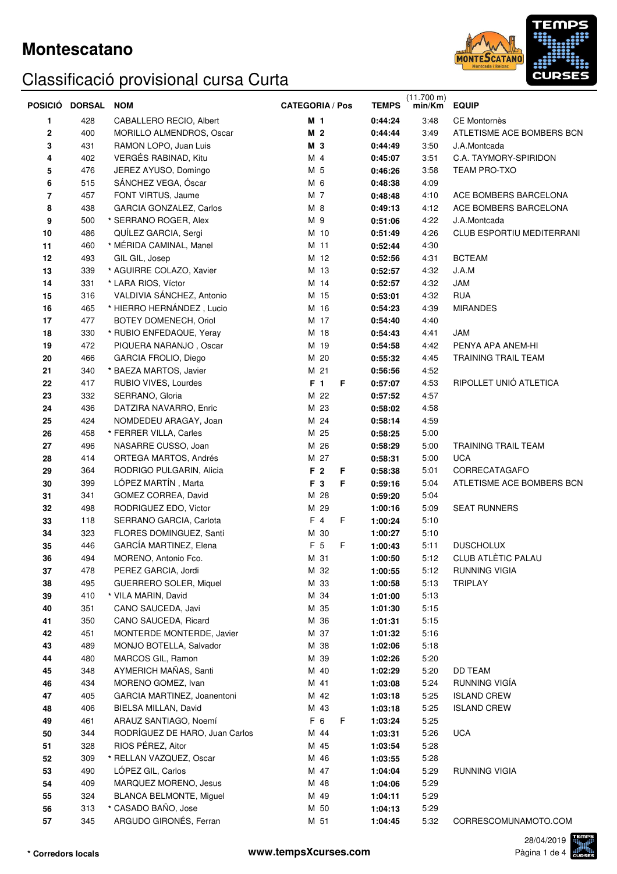

|          | POSICIO DORSAL | <b>NOM</b>                     | <b>CATEGORIA / Pos</b> | <b>TEMPS</b> | $(11.700 \text{ m})$<br>min/Km | <b>EQUIP</b>                     |
|----------|----------------|--------------------------------|------------------------|--------------|--------------------------------|----------------------------------|
| 1        | 428            | CABALLERO RECIO, Albert        | M 1                    | 0:44:24      | 3:48                           | CE Montornès                     |
| $\bf{2}$ | 400            | MORILLO ALMENDROS, Oscar       | M <sub>2</sub>         | 0:44:44      | 3:49                           | ATLETISME ACE BOMBERS BCN        |
| 3        | 431            | RAMON LOPO, Juan Luis          | M 3                    | 0:44:49      | 3:50                           | J.A.Montcada                     |
| 4        | 402            | VERGÉS RABINAD, Kitu           | M 4                    | 0:45:07      | 3:51                           | C.A. TAYMORY-SPIRIDON            |
| 5        | 476            | JEREZ AYUSO, Domingo           | M 5                    | 0:46:26      | 3:58                           | <b>TEAM PRO-TXO</b>              |
| 6        | 515            | SÁNCHEZ VEGA, Óscar            | M 6                    | 0:48:38      | 4:09                           |                                  |
| 7        | 457            | FONT VIRTUS, Jaume             | M 7                    | 0:48:48      | 4:10                           | ACE BOMBERS BARCELONA            |
| 8        | 438            | GARCIA GONZALEZ, Carlos        | M 8                    | 0:49:13      | 4:12                           | ACE BOMBERS BARCELONA            |
| 9        | 500            | * SERRANO ROGER, Alex          | M 9                    | 0:51:06      | 4:22                           | J.A.Montcada                     |
| 10       | 486            | QUILEZ GARCIA, Sergi           | M 10                   | 0:51:49      | 4:26                           | <b>CLUB ESPORTIU MEDITERRANI</b> |
| 11       | 460            | * MÉRIDA CAMINAL, Manel        | M 11                   | 0:52:44      | 4:30                           |                                  |
| 12       | 493            | GIL GIL, Josep                 | M 12                   | 0:52:56      | 4:31                           | <b>BCTEAM</b>                    |
| 13       | 339            | * AGUIRRE COLAZO, Xavier       | M 13                   | 0:52:57      | 4:32                           | J.A.M                            |
| 14       | 331            | * LARA RIOS, Víctor            | M 14                   | 0:52:57      | 4:32                           | JAM                              |
| 15       | 316            | VALDIVIA SÁNCHEZ, Antonio      | M 15                   | 0:53:01      | 4:32                           | <b>RUA</b>                       |
| 16       | 465            | * HIERRO HERNÁNDEZ, Lucio      | M 16                   | 0:54:23      | 4:39                           | <b>MIRANDES</b>                  |
| 17       | 477            | BOTEY DOMENECH, Oriol          | M 17                   | 0:54:40      | 4:40                           |                                  |
| 18       | 330            | * RUBIO ENFEDAQUE, Yeray       | M 18                   | 0:54:43      | 4:41                           | <b>JAM</b>                       |
| 19       | 472            | PIQUERA NARANJO, Oscar         | M 19                   | 0:54:58      | 4:42                           | PENYA APA ANEM-HI                |
| 20       | 466            | <b>GARCIA FROLIO, Diego</b>    | M 20                   | 0:55:32      | 4:45                           | TRAINING TRAIL TEAM              |
| 21       | 340            | * BAEZA MARTOS, Javier         | M 21                   | 0:56:56      | 4:52                           |                                  |
| 22       | 417            | RUBIO VIVES, Lourdes           | F 1<br>F               | 0:57:07      | 4:53                           | RIPOLLET UNIÓ ATLETICA           |
| 23       | 332            | SERRANO, Gloria                | M 22                   | 0:57:52      | 4:57                           |                                  |
| 24       | 436            | DATZIRA NAVARRO, Enric         | M 23                   | 0:58:02      | 4:58                           |                                  |
| 25       | 424            | NOMDEDEU ARAGAY, Joan          | M 24                   | 0:58:14      | 4:59                           |                                  |
| 26       | 458            | * FERRER VILLA, Carles         | M 25                   | 0:58:25      | 5:00                           |                                  |
| 27       | 496            | NASARRE CUSSO, Joan            | M 26                   | 0:58:29      | 5:00                           | TRAINING TRAIL TEAM              |
| 28       | 414            | ORTEGA MARTOS, Andrés          | M 27                   | 0:58:31      | 5:00                           | <b>UCA</b>                       |
| 29       | 364            | RODRIGO PULGARIN, Alicia       | F 2<br>F               | 0:58:38      | 5:01                           | CORRECATAGAFO                    |
| 30       | 399            | LÓPEZ MARTÍN, Marta            | F 3<br>F               | 0:59:16      | 5:04                           | ATLETISME ACE BOMBERS BCN        |
| 31       | 341            | GOMEZ CORREA, David            | M 28                   | 0:59:20      | 5:04                           |                                  |
| 32       | 498            | RODRIGUEZ EDO, Victor          | M 29                   | 1:00:16      | 5:09                           | <b>SEAT RUNNERS</b>              |
| 33       | 118            | SERRANO GARCIA, Carlota        | F 4<br>F               | 1:00:24      | 5:10                           |                                  |
| 34       | 323            | FLORES DOMINGUEZ, Santi        | M 30                   | 1:00:27      | 5:10                           |                                  |
| 35       | 446            | GARCÍA MARTINEZ, Elena         | F 5<br>F               | 1:00:43      | 5:11                           | <b>DUSCHOLUX</b>                 |
| 36       | 494            | MORENO, Antonio Fco.           | M 31                   | 1:00:50      | 5:12                           | CLUB ATLÈTIC PALAU               |
| 37       | 478            | PEREZ GARCIA, Jordi            | M 32                   | 1:00:55      | 5:12                           | RUNNING VIGIA                    |
| 38       | 495            | <b>GUERRERO SOLER, Miquel</b>  | M 33                   | 1:00:58      | 5:13                           | <b>TRIPLAY</b>                   |
| 39       | 410            | * VILA MARIN, David            | M 34                   | 1:01:00      | 5:13                           |                                  |
| 40       | 351            | CANO SAUCEDA, Javi             | M 35                   | 1:01:30      | 5:15                           |                                  |
| 41       | 350            | CANO SAUCEDA, Ricard           | M 36                   | 1:01:31      | 5:15                           |                                  |
| 42       | 451            | MONTERDE MONTERDE, Javier      | M 37                   | 1:01:32      | 5:16                           |                                  |
| 43       | 489            | MONJO BOTELLA, Salvador        | M 38                   | 1:02:06      | 5:18                           |                                  |
| 44       | 480            | MARCOS GIL, Ramon              | M 39                   | 1:02:26      | 5:20                           |                                  |
| 45       | 348            | AYMERICH MAÑAS, Santi          | M 40                   | 1:02:29      | 5:20                           | DD TEAM                          |
| 46       | 434            | MORENO GOMEZ, Ivan             | M 41                   | 1:03:08      | 5:24                           | RUNNING VIGÍA                    |
| 47       | 405            | GARCIA MARTINEZ, Joanentoni    | M 42                   | 1:03:18      | 5:25                           | <b>ISLAND CREW</b>               |
| 48       | 406            | BIELSA MILLAN, David           | M 43                   | 1:03:18      | 5:25                           | <b>ISLAND CREW</b>               |
| 49       | 461            | ARAUZ SANTIAGO, Noemí          | F 6<br>F               | 1:03:24      | 5:25                           |                                  |
| 50       | 344            | RODRÍGUEZ DE HARO, Juan Carlos | M 44                   | 1:03:31      | 5:26                           | <b>UCA</b>                       |
| 51       | 328            | RIOS PÉREZ, Aitor              | M 45                   | 1:03:54      | 5:28                           |                                  |
| 52       | 309            | * RELLAN VAZQUEZ, Oscar        | M 46                   | 1:03:55      | 5:28                           |                                  |
| 53       | 490            | LÓPEZ GIL, Carlos              | M 47                   | 1:04:04      | 5:29                           | <b>RUNNING VIGIA</b>             |
| 54       | 409            | MARQUEZ MORENO, Jesus          | M 48                   | 1:04:06      | 5:29                           |                                  |
| 55       | 324            | <b>BLANCA BELMONTE, Miguel</b> | M 49                   | 1:04:11      | 5:29                           |                                  |
| 56       | 313            | * CASADO BAÑO, Jose            | M 50                   | 1:04:13      | 5:29                           |                                  |
| 57       | 345            | ARGUDO GIRONÉS, Ferran         | M 51                   | 1:04:45      | 5:32                           | CORRESCOMUNAMOTO.COM             |

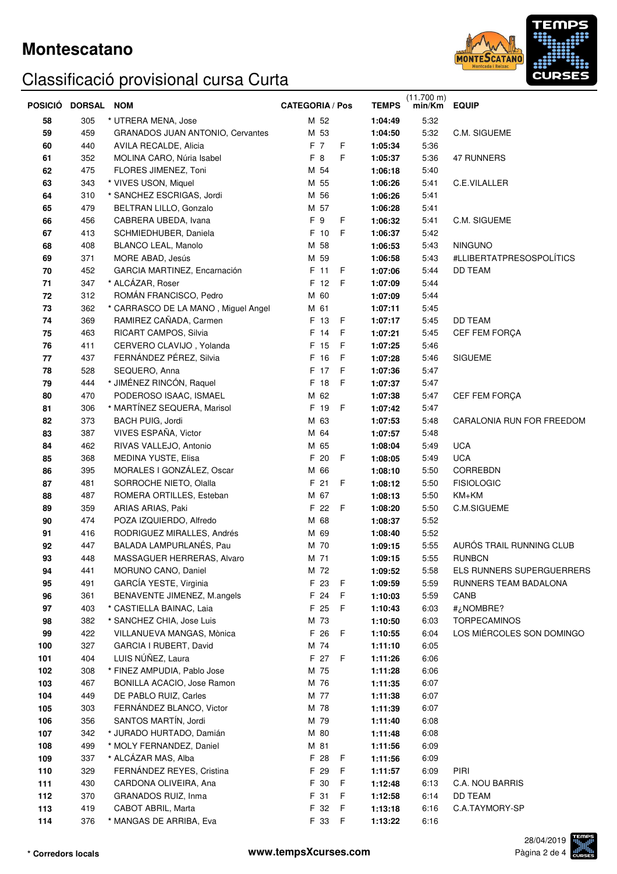

|     | POSICIÓ DORSAL NOM |                                         | <b>CATEGORIA / Pos</b> | <b>TEMPS</b> | $(11.700 \text{ m})$<br>min/Km | <b>EQUIP</b>              |
|-----|--------------------|-----------------------------------------|------------------------|--------------|--------------------------------|---------------------------|
| 58  | 305                | * UTRERA MENA, Jose                     | M 52                   | 1:04:49      | 5:32                           |                           |
| 59  | 459                | <b>GRANADOS JUAN ANTONIO, Cervantes</b> | M 53                   | 1:04:50      | 5:32                           | C.M. SIGUEME              |
| 60  | 440                | AVILA RECALDE, Alicia                   | F 7<br>F               | 1:05:34      | 5:36                           |                           |
| 61  | 352                | MOLINA CARO, Núria Isabel               | F<br>F 8               | 1:05:37      | 5:36                           | 47 RUNNERS                |
| 62  | 475                | FLORES JIMENEZ, Toni                    | M 54                   | 1:06:18      | 5:40                           |                           |
| 63  | 343                | * VIVES USON, Miquel                    | M 55                   | 1:06:26      | 5:41                           | C.E.VILALLER              |
| 64  | 310                | * SANCHEZ ESCRIGAS, Jordi               | M 56                   | 1:06:26      | 5:41                           |                           |
| 65  | 479                | BELTRAN LILLO, Gonzalo                  | M 57                   | 1:06:28      | 5:41                           |                           |
| 66  | 456                | CABRERA UBEDA, Ivana                    | F 9<br>F               | 1:06:32      | 5:41                           | C.M. SIGUEME              |
| 67  | 413                | SCHMIEDHUBER, Daniela                   | F 10<br>F              | 1:06:37      | 5:42                           |                           |
| 68  | 408                | <b>BLANCO LEAL, Manolo</b>              | M 58                   | 1:06:53      | 5:43                           | <b>NINGUNO</b>            |
| 69  | 371                | MORE ABAD, Jesús                        | M 59                   | 1:06:58      | 5:43                           | #LLIBERTATPRESOSPOLÍTICS  |
| 70  | 452                | GARCIA MARTINEZ, Encarnación            | F 11<br>- F            | 1:07:06      | 5:44                           | <b>DD TEAM</b>            |
| 71  | 347                | * ALCÁZAR, Roser                        | F 12<br>- F            | 1:07:09      | 5:44                           |                           |
| 72  | 312                | ROMÁN FRANCISCO, Pedro                  | M 60                   | 1:07:09      | 5:44                           |                           |
| 73  | 362                | * CARRASCO DE LA MANO, Miguel Angel     | M 61                   | 1:07:11      | 5:45                           |                           |
| 74  | 369                | RAMIREZ CAÑADA, Carmen                  | F 13<br>- F            | 1:07:17      | 5:45                           | DD TEAM                   |
| 75  | 463                | RICART CAMPOS, Silvia                   | F 14<br>$\mathsf F$    | 1:07:21      | 5:45                           | CEF FEM FORÇA             |
| 76  | 411                | CERVERO CLAVIJO, Yolanda                | F<br>F 15              | 1:07:25      | 5:46                           |                           |
| 77  | 437                | FERNÁNDEZ PÉREZ, Silvia                 | $\mathsf F$<br>F 16    | 1:07:28      | 5:46                           | <b>SIGUEME</b>            |
| 78  | 528                | SEQUERO, Anna                           | F<br>F 17              | 1:07:36      | 5:47                           |                           |
| 79  | 444                | * JIMÉNEZ RINCÓN, Raquel                | F 18<br>$\mathsf F$    | 1:07:37      | 5:47                           |                           |
| 80  | 470                | PODEROSO ISAAC, ISMAEL                  | M 62                   | 1:07:38      | 5:47                           | CEF FEM FORÇA             |
| 81  | 306                | * MARTÍNEZ SEQUERA, Marisol             | F 19<br>$\mathsf F$    | 1:07:42      | 5:47                           |                           |
| 82  | 373                | BACH PUIG, Jordi                        | M 63                   | 1:07:53      | 5:48                           | CARALONIA RUN FOR FREEDOM |
| 83  | 387                | VIVES ESPAÑA, Victor                    | M 64                   | 1:07:57      | 5:48                           |                           |
| 84  | 462                | RIVAS VALLEJO, Antonio                  | M 65                   | 1:08:04      | 5:49                           | <b>UCA</b>                |
| 85  | 368                | MEDINA YUSTE, Elisa                     | F 20<br>$\mathsf F$    | 1:08:05      | 5:49                           | <b>UCA</b>                |
| 86  | 395                | MORALES I GONZÁLEZ, Oscar               | M 66                   | 1:08:10      | 5:50                           | CORREBDN                  |
| 87  | 481                | SORROCHE NIETO, Olalla                  | F 21<br>F              | 1:08:12      | 5:50                           | <b>FISIOLOGIC</b>         |
| 88  | 487                | ROMERA ORTILLES, Esteban                | M 67                   | 1:08:13      | 5:50                           | KM+KM                     |
| 89  | 359                | ARIAS ARIAS, Paki                       | F 22<br>-F             | 1:08:20      | 5:50                           | C.M.SIGUEME               |
| 90  | 474                | POZA IZQUIERDO, Alfredo                 | M 68                   | 1:08:37      | 5:52                           |                           |
| 91  | 416                | RODRIGUEZ MIRALLES, Andrés              | M 69                   | 1:08:40      | 5:52                           |                           |
| 92  | 447                | BALADA LAMPURLANÉS, Pau                 | M 70                   | 1:09:15      | 5:55                           | AURÓS TRAIL RUNNING CLUB  |
| 93  | 448                | MASSAGUER HERRERAS, Alvaro              | M 71                   | 1:09:15      | 5:55                           | RUNBCN                    |
| 94  | 441                | MORUNO CANO, Daniel                     | M 72                   | 1:09:52      | 5.58                           | ELS RUNNERS SUPERGUERRERS |
| 95  | 491                | GARCÍA YESTE, Virginia                  | F 23<br>- F            | 1:09:59      | 5:59                           | RUNNERS TEAM BADALONA     |
| 96  | 361                | BENAVENTE JIMENEZ, M.angels             | F 24<br>F              | 1:10:03      | 5:59                           | CANB                      |
| 97  | 403                | * CASTIELLA BAINAC, Laia                | F 25<br>F              | 1:10:43      | 6:03                           | NOMBRE?                   |
| 98  | 382                | * SANCHEZ CHIA, Jose Luis               | M 73                   | 1:10:50      | 6:03                           | <b>TORPECAMINOS</b>       |
| 99  | 422                | VILLANUEVA MANGAS, Mònica               | F 26<br>$\mathsf F$    | 1:10:55      | 6:04                           | LOS MIÉRCOLES SON DOMINGO |
| 100 | 327                | GARCIA I RUBERT, David                  | M 74                   | 1:11:10      | 6:05                           |                           |
| 101 | 404                | LUIS NÚÑEZ, Laura                       | F 27<br>- F            | 1:11:26      | 6:06                           |                           |
| 102 | 308                | * FINEZ AMPUDIA, Pablo Jose             | M 75                   | 1:11:28      | 6:06                           |                           |
| 103 | 467                | BONILLA ACACIO, Jose Ramon              | M 76                   | 1:11:35      | 6:07                           |                           |
| 104 | 449                | DE PABLO RUIZ, Carles                   | M 77                   | 1:11:38      | 6:07                           |                           |
| 105 | 303                | FERNÁNDEZ BLANCO, Victor                | M 78                   | 1:11:39      | 6:07                           |                           |
| 106 | 356                | SANTOS MARTÍN, Jordi                    | M 79                   | 1:11:40      | 6:08                           |                           |
| 107 | 342                | * JURADO HURTADO, Damián                | M 80                   | 1:11:48      | 6:08                           |                           |
| 108 | 499                | * MOLY FERNANDEZ, Daniel                | M 81                   | 1:11:56      | 6:09                           |                           |
| 109 | 337                | * ALCÁZAR MAS, Alba                     | F 28<br>F              | 1:11:56      | 6:09                           |                           |
| 110 | 329                | FERNÁNDEZ REYES, Cristina               | F 29<br>F              | 1:11:57      | 6:09                           | PIRI                      |
| 111 | 430                | CARDONA OLIVEIRA, Ana                   | F 30<br>F              | 1:12:48      | 6:13                           | C.A. NOU BARRIS           |
| 112 | 370                | GRANADOS RUIZ, Inma                     | F 31<br>F              | 1:12:58      | 6:14                           | DD TEAM                   |
| 113 | 419                | CABOT ABRIL, Marta                      | F 32<br>-F             | 1:13:18      | 6:16                           | C.A.TAYMORY-SP            |
| 114 | 376                | * MANGAS DE ARRIBA, Eva                 | F 33<br>- F            | 1:13:22      | 6:16                           |                           |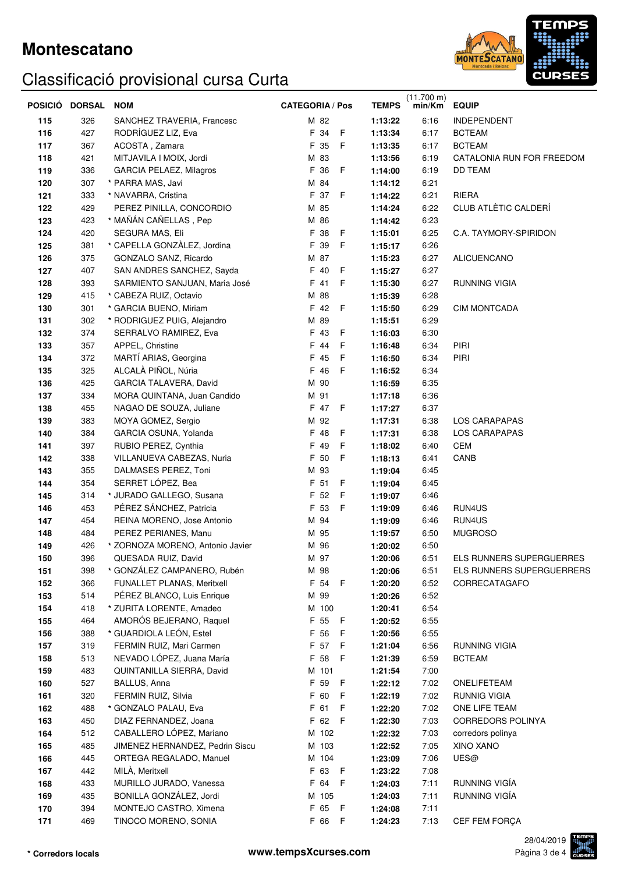

|     | POSICIO DORSAL | <b>NOM</b>                       | <b>CATEGORIA / Pos</b> | <b>TEMPS</b> | $(11.700 \text{ m})$<br>min/Km | <b>EQUIP</b>                    |
|-----|----------------|----------------------------------|------------------------|--------------|--------------------------------|---------------------------------|
| 115 | 326            | SANCHEZ TRAVERIA, Francesc       | M 82                   | 1:13:22      | 6:16                           | <b>INDEPENDENT</b>              |
| 116 | 427            | RODRÍGUEZ LIZ, Eva               | F 34<br>- F            | 1:13:34      | 6:17                           | <b>BCTEAM</b>                   |
| 117 | 367            | ACOSTA, Zamara                   | $\mathsf F$<br>F 35    | 1:13:35      | 6:17                           | <b>BCTEAM</b>                   |
| 118 | 421            | MITJAVILA I MOIX, Jordi          | M 83                   | 1:13:56      | 6:19                           | CATALONIA RUN FOR FREEDOM       |
| 119 | 336            | GARCIA PELAEZ, Milagros          | F 36<br>F              | 1:14:00      | 6:19                           | <b>DD TEAM</b>                  |
| 120 | 307            | * PARRA MAS, Javi                | M 84                   | 1:14:12      | 6:21                           |                                 |
| 121 | 333            | * NAVARRA, Cristina              | F 37<br>- F            | 1:14:22      | 6:21                           | <b>RIERA</b>                    |
| 122 | 429            | PEREZ PINILLA, CONCORDIO         | M 85                   | 1:14:24      | 6:22                           | CLUB ATLÈTIC CALDERÍ            |
| 123 | 423            | * MAÑÁN CAÑELLAS, Pep            | M 86                   | 1:14:42      | 6:23                           |                                 |
| 124 | 420            | SEGURA MAS, Eli                  | F 38<br>- F            | 1:15:01      | 6:25                           | C.A. TAYMORY-SPIRIDON           |
| 125 | 381            | * CAPELLA GONZÀLEZ, Jordina      | F<br>F 39              | 1:15:17      | 6:26                           |                                 |
| 126 | 375            | GONZALO SANZ, Ricardo            | M 87                   | 1:15:23      | 6:27                           | <b>ALICUENCANO</b>              |
| 127 | 407            | SAN ANDRES SANCHEZ, Sayda        | F 40<br>F              | 1:15:27      | 6:27                           |                                 |
| 128 | 393            | SARMIENTO SANJUAN, Maria José    | F<br>F 41              | 1:15:30      | 6:27                           | <b>RUNNING VIGIA</b>            |
| 129 | 415            | * CABEZA RUIZ, Octavio           | M 88                   | 1:15:39      | 6:28                           |                                 |
| 130 | 301            | * GARCIA BUENO, Miriam           | F 42 F                 | 1:15:50      | 6:29                           | <b>CIM MONTCADA</b>             |
| 131 | 302            | * RODRIGUEZ PUIG, Alejandro      | M 89                   | 1:15:51      | 6:29                           |                                 |
| 132 | 374            | SERRALVO RAMIREZ, Eva            | - F<br>F 43            | 1:16:03      | 6:30                           |                                 |
| 133 | 357            | APPEL, Christine                 | $\mathsf{F}$<br>F 44   | 1:16:48      | 6:34                           | PIRI                            |
| 134 | 372            | MARTÍ ARIAS, Georgina            | F 45<br>F              | 1:16:50      | 6:34                           | PIRI                            |
| 135 | 325            | ALCALÀ PIÑOL, Núria              | F 46<br>-F             | 1:16:52      | 6:34                           |                                 |
| 136 | 425            | GARCIA TALAVERA, David           | M 90                   | 1:16:59      | 6:35                           |                                 |
| 137 | 334            | MORA QUINTANA, Juan Candido      | M 91                   | 1:17:18      | 6:36                           |                                 |
| 138 | 455            | NAGAO DE SOUZA, Juliane          | F 47 F                 | 1:17:27      | 6:37                           |                                 |
| 139 | 383            | MOYA GOMEZ, Sergio               | M 92                   | 1:17:31      | 6:38                           | LOS CARAPAPAS                   |
| 140 | 384            | GARCIA OSUNA, Yolanda            | F 48<br>- F            | 1:17:31      | 6:38                           | LOS CARAPAPAS                   |
| 141 | 397            | RUBIO PEREZ, Cynthia             | F 49<br>F              | 1:18:02      | 6:40                           | <b>CEM</b>                      |
| 142 | 338            | VILLANUEVA CABEZAS, Nuria        | F 50<br>-F             | 1:18:13      | 6:41                           | CANB                            |
| 143 | 355            | DALMASES PEREZ, Toni             | M 93                   | 1:19:04      | 6:45                           |                                 |
| 144 | 354            | SERRET LÓPEZ, Bea                | F 51<br>F              | 1:19:04      | 6:45                           |                                 |
| 145 | 314            | * JURADO GALLEGO, Susana         | F 52<br>F              | 1:19:07      | 6:46                           |                                 |
| 146 | 453            | PÉREZ SÁNCHEZ, Patricia          | F 53<br>-F             | 1:19:09      | 6:46                           | RUN4US                          |
| 147 | 454            | REINA MORENO, Jose Antonio       | M 94                   | 1:19:09      | 6:46                           | RUN4US                          |
| 148 | 484            | PEREZ PERIANES, Manu             | M 95                   | 1:19:57      | 6:50                           | <b>MUGROSO</b>                  |
| 149 | 426            | * ZORNOZA MORENO, Antonio Javier | M 96                   | 1:20:02      | 6:50                           |                                 |
| 150 | 396            | QUESADA RUIZ, David              | M 97                   | 1:20:06      | 6:51                           | <b>ELS RUNNERS SUPERGUERRES</b> |
| 151 | 398            | * GONZÁLEZ CAMPANERO, Rubén      | M 98                   | 1:20:06      | 6:51                           | ELS RUNNERS SUPERGUERRERS       |
| 152 | 366            | FUNALLET PLANAS, Meritxell       | F 54 F                 | 1:20:20      | 6:52                           | CORRECATAGAFO                   |
| 153 | 514            | PÉREZ BLANCO, Luis Enrique       | M 99                   | 1:20:26      | 6:52                           |                                 |
| 154 | 418            | * ZURITA LORENTE, Amadeo         | M 100                  | 1:20:41      | 6:54                           |                                 |
| 155 | 464            | AMORÓS BEJERANO, Raquel          | F 55 F                 | 1:20:52      | 6:55                           |                                 |
| 156 | 388            | * GUARDIOLA LEÓN, Estel          | F 56<br>-F             | 1:20:56      | 6.55                           |                                 |
| 157 | 319            | FERMIN RUIZ, Mari Carmen         | F 57<br>- F            | 1:21:04      | 6.56                           | RUNNING VIGIA                   |
| 158 | 513            | NEVADO LÓPEZ, Juana María        | F 58<br>- F            | 1:21:39      | 6:59                           | <b>BCTEAM</b>                   |
| 159 | 483            | QUINTANILLA SIERRA, David        | M 101                  | 1:21:54      | 7:00                           |                                 |
| 160 | 527            | BALLUS, Anna                     | F 59<br>$\mathsf{F}$   | 1:22:12      | 7:02                           | ONELIFETEAM                     |
| 161 | 320            | FERMIN RUIZ, Silvia              | F 60<br>F              | 1:22:19      | 7:02                           | <b>RUNNIG VIGIA</b>             |
| 162 | 488            | * GONZALO PALAU, Eva             | F 61<br>F              | 1:22:20      | 7:02                           | ONE LIFE TEAM                   |
| 163 | 450            | DIAZ FERNANDEZ, Joana            | F 62 F                 | 1:22:30      | 7:03                           | <b>CORREDORS POLINYA</b>        |
| 164 | 512            | CABALLERO LÓPEZ, Mariano         | M 102                  |              | 7:03                           | corredors polinya               |
|     |                |                                  |                        | 1:22:32      |                                |                                 |
| 165 | 485            | JIMENEZ HERNANDEZ, Pedrin Siscu  | M 103                  | 1:22:52      | 7:05                           | <b>XINO XANO</b>                |
| 166 | 445            | ORTEGA REGALADO, Manuel          | M 104                  | 1:23:09      | 7:06                           | UES@                            |
| 167 | 442            | MILÀ, Meritxell                  | F 63 F                 | 1:23:22      | 7:08                           |                                 |
| 168 | 433            | MURILLO JURADO, Vanessa          | F 64<br>- F            | 1:24:03      | 7:11                           | RUNNING VIGÍA                   |
| 169 | 435            | BONILLA GONZÁLEZ, Jordi          | M 105                  | 1:24:03      | 7:11                           | RUNNING VIGÍA                   |
| 170 | 394            | MONTEJO CASTRO, Ximena           | F 65 F                 | 1:24:08      | 7:11                           |                                 |
| 171 | 469            | TINOCO MORENO, SONIA             | F 66<br>- F            | 1:24:23      | 7:13                           | CEF FEM FORÇA                   |